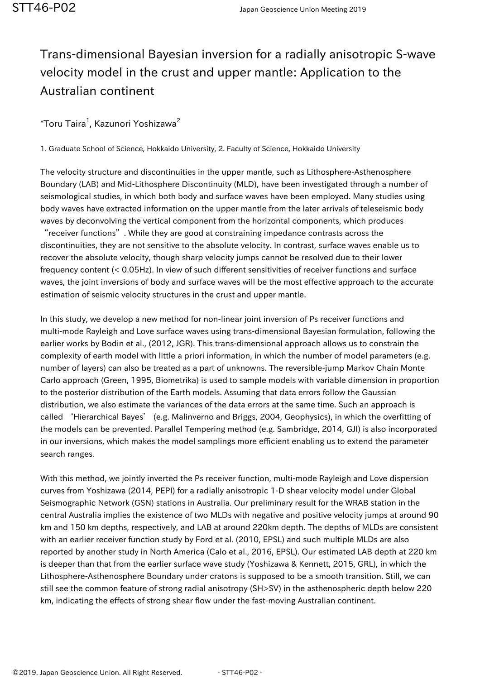## Trans-dimensional Bayesian inversion for a radially anisotropic S-wave velocity model in the crust and upper mantle: Application to the Australian continent

## $^\ast$ Toru Taira $^1$ , Kazunori Yoshizawa $^2$

1. Graduate School of Science, Hokkaido University, 2. Faculty of Science, Hokkaido University

The velocity structure and discontinuities in the upper mantle, such as Lithosphere-Asthenosphere Boundary (LAB) and Mid-Lithosphere Discontinuity (MLD), have been investigated through a number of seismological studies, in which both body and surface waves have been employed. Many studies using body waves have extracted information on the upper mantle from the later arrivals of teleseismic body waves by deconvolving the vertical component from the horizontal components, which produces "receiver functions". While they are good at constraining impedance contrasts across the discontinuities, they are not sensitive to the absolute velocity. In contrast, surface waves enable us to recover the absolute velocity, though sharp velocity jumps cannot be resolved due to their lower frequency content (< 0.05Hz). In view of such different sensitivities of receiver functions and surface waves, the joint inversions of body and surface waves will be the most effective approach to the accurate estimation of seismic velocity structures in the crust and upper mantle.

In this study, we develop a new method for non-linear joint inversion of Ps receiver functions and multi-mode Rayleigh and Love surface waves using trans-dimensional Bayesian formulation, following the earlier works by Bodin et al., (2012, JGR). This trans-dimensional approach allows us to constrain the complexity of earth model with little a priori information, in which the number of model parameters (e.g. number of layers) can also be treated as a part of unknowns. The reversible-jump Markov Chain Monte Carlo approach (Green, 1995, Biometrika) is used to sample models with variable dimension in proportion to the posterior distribution of the Earth models. Assuming that data errors follow the Gaussian distribution, we also estimate the variances of the data errors at the same time. Such an approach is called 'Hierarchical Bayes' (e.g. Malinverno and Briggs, 2004, Geophysics), in which the overfitting of the models can be prevented. Parallel Tempering method (e.g. Sambridge, 2014, GJI) is also incorporated in our inversions, which makes the model samplings more efficient enabling us to extend the parameter search ranges.

With this method, we jointly inverted the Ps receiver function, multi-mode Rayleigh and Love dispersion curves from Yoshizawa (2014, PEPI) for a radially anisotropic 1-D shear velocity model under Global Seismographic Network (GSN) stations in Australia. Our preliminary result for the WRAB station in the central Australia implies the existence of two MLDs with negative and positive velocity jumps at around 90 km and 150 km depths, respectively, and LAB at around 220km depth. The depths of MLDs are consistent with an earlier receiver function study by Ford et al. (2010, EPSL) and such multiple MLDs are also reported by another study in North America (Calo et al., 2016, EPSL). Our estimated LAB depth at 220 km is deeper than that from the earlier surface wave study (Yoshizawa & Kennett, 2015, GRL), in which the Lithosphere-Asthenosphere Boundary under cratons is supposed to be a smooth transition. Still, we can still see the common feature of strong radial anisotropy (SH>SV) in the asthenospheric depth below 220 km, indicating the effects of strong shear flow under the fast-moving Australian continent.